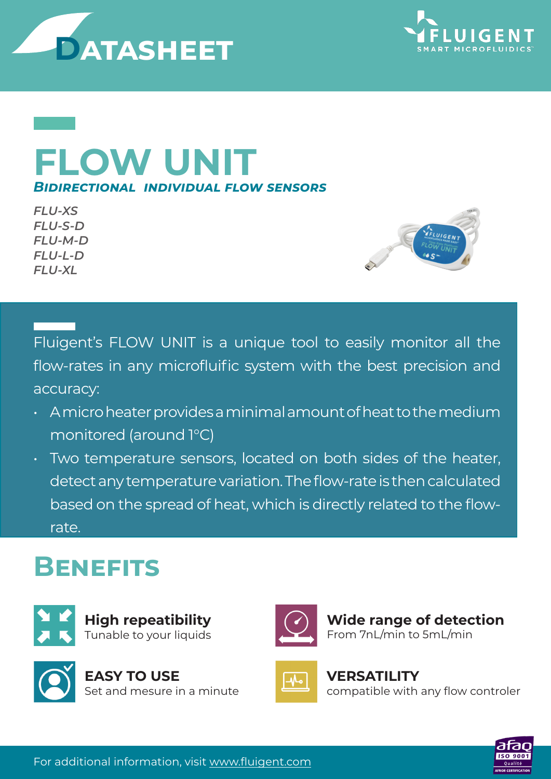



## **FLOW UNIT** *Bidirectional individual flow sensors*

*FLU-XS FLU-S-D FLU-M-D FLU-L-D FLU-XL*



Fluigent's FLOW UNIT is a unique tool to easily monitor all the flow-rates in any microfluific system with the best precision and accuracy:

- A micro heater provides a minimal amount of heat to the medium monitored (around 1°C)
- Two temperature sensors, located on both sides of the heater, detect any temperature variation. The flow-rate is then calculated based on the spread of heat, which is directly related to the flowrate.

## **Benefits**







**Wide range of detection**  From 7nL/min to 5mL/min

## **VERSATILITY**

compatible with any flow controler